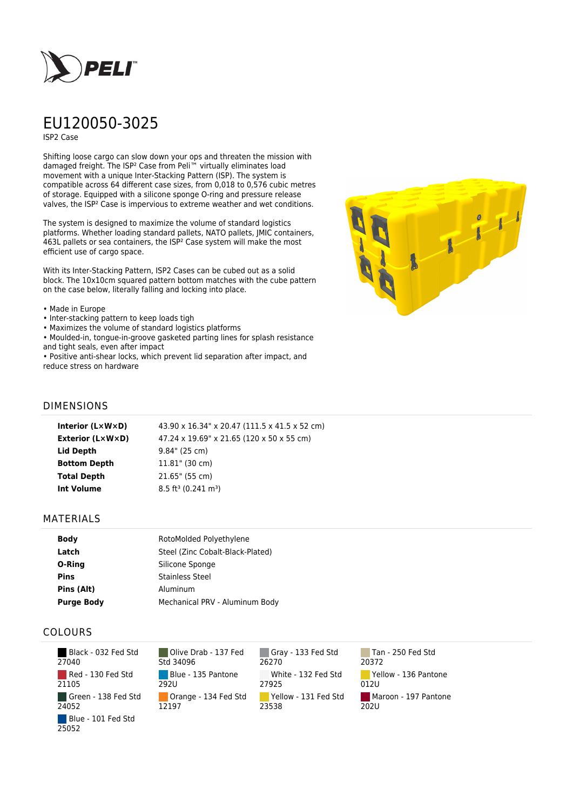

# EU120050-3025

ISP2 Case

Shifting loose cargo can slow down your ops and threaten the mission with damaged freight. The ISP² Case from Peli™ virtually eliminates load movement with a unique Inter-Stacking Pattern (ISP). The system is compatible across 64 different case sizes, from 0,018 to 0,576 cubic metres of storage. Equipped with a silicone sponge O-ring and pressure release valves, the ISP² Case is impervious to extreme weather and wet conditions.

The system is designed to maximize the volume of standard logistics platforms. Whether loading standard pallets, NATO pallets, JMIC containers, 463L pallets or sea containers, the ISP² Case system will make the most efficient use of cargo space.

With its Inter-Stacking Pattern, ISP2 Cases can be cubed out as a solid block. The 10x10cm squared pattern bottom matches with the cube pattern on the case below, literally falling and locking into place.

#### • Made in Europe

- Inter-stacking pattern to keep loads tigh
- Maximizes the volume of standard logistics platforms
- Moulded-in, tongue-in-groove gasketed parting lines for splash resistance and tight seals, even after impact
- Positive anti-shear locks, which prevent lid separation after impact, and reduce stress on hardware



### DIMENSIONS

| Interior (LxWxD)        | 43.90 x 16.34" x 20.47 (111.5 x 41.5 x 52 cm) |
|-------------------------|-----------------------------------------------|
| <b>Exterior (L×W×D)</b> | 47.24 x 19.69" x 21.65 (120 x 50 x 55 cm)     |
| Lid Depth               | 9.84" (25 cm)                                 |
| <b>Bottom Depth</b>     | $11.81$ " (30 cm)                             |
| <b>Total Depth</b>      | 21.65" (55 cm)                                |
| <b>Int Volume</b>       | $8.5 \text{ ft}^3 (0.241 \text{ m}^3)$        |
|                         |                                               |

#### MATERIALS

| <b>Body</b>       | RotoMolded Polyethylene          |
|-------------------|----------------------------------|
| Latch             | Steel (Zinc Cobalt-Black-Plated) |
| O-Ring            | Silicone Sponge                  |
| <b>Pins</b>       | <b>Stainless Steel</b>           |
| Pins (Alt)        | Aluminum                         |
| <b>Purge Body</b> | Mechanical PRV - Aluminum Body   |

## COLOURS

 Black - 032 Fed Std 27040 Red - 130 Fed Std 21105 Green - 138 Fed Std 24052 Blue - 101 Fed Std 25052

Olive Drab - 137 Fed Std 34096 Blue - 135 Pantone 292U Orange - 134 Fed Std 12197

Gray - 133 Fed Std 26270 White - 132 Fed Std 27925 Yellow - 131 Fed Std 23538

Tan - 250 Fed Std 20372 Yellow - 136 Pantone 012U Maroon - 197 Pantone  $202U$